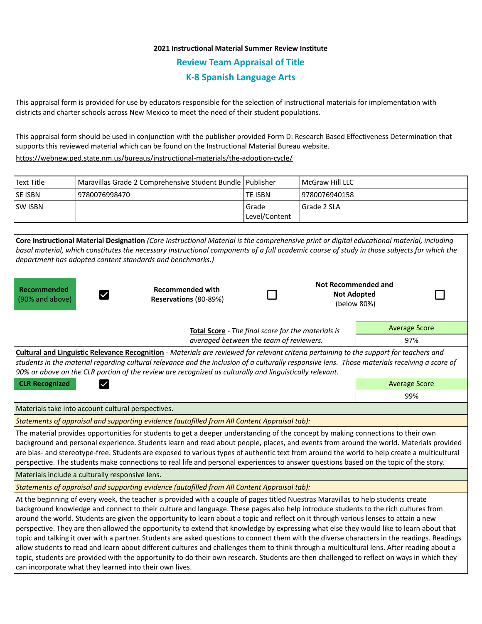## **2021 Instructional Material Summer Review Institute Review Team Appraisal of Title K-8 Spanish Language Arts**

This appraisal form is provided for use by educators responsible for the selection of instructional materials for implementation with districts and charter schools across New Mexico to meet the need of their student populations.

This appraisal form should be used in conjunction with the publisher provided Form D: Research Based Effectiveness Determination that supports this reviewed material which can be found on the Instructional Material Bureau website.

<https://webnew.ped.state.nm.us/bureaus/instructional-materials/the-adoption-cycle/>

| Text Title     | Maravillas Grade 2 Comprehensive Student Bundle   Publisher |               | <b>IMcGraw Hill LLC</b> |
|----------------|-------------------------------------------------------------|---------------|-------------------------|
| <b>SE ISBN</b> | 9780076998470                                               | lte ISBN      | 19780076940158          |
| <b>SW ISBN</b> |                                                             | Grade         | Grade 2 SLA             |
|                |                                                             | Level/Content |                         |

| Core Instructional Material Designation (Core Instructional Material is the comprehensive print or digital educational material, including<br>basal material, which constitutes the necessary instructional components of a full academic course of study in those subjects for which the<br>department has adopted content standards and benchmarks.)                                                                                                                                                                                                                                                                                                                                                                                                                                                                                                                                                                                                                                                                                                           |                                                  |  |  |                                                          |  |  |  |  |
|------------------------------------------------------------------------------------------------------------------------------------------------------------------------------------------------------------------------------------------------------------------------------------------------------------------------------------------------------------------------------------------------------------------------------------------------------------------------------------------------------------------------------------------------------------------------------------------------------------------------------------------------------------------------------------------------------------------------------------------------------------------------------------------------------------------------------------------------------------------------------------------------------------------------------------------------------------------------------------------------------------------------------------------------------------------|--------------------------------------------------|--|--|----------------------------------------------------------|--|--|--|--|
| Recommended<br>(90% and above)                                                                                                                                                                                                                                                                                                                                                                                                                                                                                                                                                                                                                                                                                                                                                                                                                                                                                                                                                                                                                                   | <b>Recommended with</b><br>Reservations (80-89%) |  |  | Not Recommended and<br><b>Not Adopted</b><br>(below 80%) |  |  |  |  |
| Total Score - The final score for the materials is<br>averaged between the team of reviewers.                                                                                                                                                                                                                                                                                                                                                                                                                                                                                                                                                                                                                                                                                                                                                                                                                                                                                                                                                                    |                                                  |  |  | <b>Average Score</b>                                     |  |  |  |  |
|                                                                                                                                                                                                                                                                                                                                                                                                                                                                                                                                                                                                                                                                                                                                                                                                                                                                                                                                                                                                                                                                  |                                                  |  |  | 97%                                                      |  |  |  |  |
| Cultural and Linguistic Relevance Recognition - Materials are reviewed for relevant criteria pertaining to the support for teachers and<br>students in the material regarding cultural relevance and the inclusion of a culturally responsive lens. Those materials receiving a score of<br>90% or above on the CLR portion of the review are recognized as culturally and linguistically relevant.                                                                                                                                                                                                                                                                                                                                                                                                                                                                                                                                                                                                                                                              |                                                  |  |  |                                                          |  |  |  |  |
| <b>CLR Recognized</b><br>$\checkmark$                                                                                                                                                                                                                                                                                                                                                                                                                                                                                                                                                                                                                                                                                                                                                                                                                                                                                                                                                                                                                            |                                                  |  |  | <b>Average Score</b>                                     |  |  |  |  |
|                                                                                                                                                                                                                                                                                                                                                                                                                                                                                                                                                                                                                                                                                                                                                                                                                                                                                                                                                                                                                                                                  |                                                  |  |  | 99%                                                      |  |  |  |  |
| Materials take into account cultural perspectives.                                                                                                                                                                                                                                                                                                                                                                                                                                                                                                                                                                                                                                                                                                                                                                                                                                                                                                                                                                                                               |                                                  |  |  |                                                          |  |  |  |  |
| Statements of appraisal and supporting evidence (autofilled from All Content Appraisal tab):                                                                                                                                                                                                                                                                                                                                                                                                                                                                                                                                                                                                                                                                                                                                                                                                                                                                                                                                                                     |                                                  |  |  |                                                          |  |  |  |  |
| The material provides opportunities for students to get a deeper understanding of the concept by making connections to their own<br>background and personal experience. Students learn and read about people, places, and events from around the world. Materials provided<br>are bias- and stereotype-free. Students are exposed to various types of authentic text from around the world to help create a multicultural<br>perspective. The students make connections to real life and personal experiences to answer questions based on the topic of the story.                                                                                                                                                                                                                                                                                                                                                                                                                                                                                               |                                                  |  |  |                                                          |  |  |  |  |
| Materials include a culturally responsive lens.                                                                                                                                                                                                                                                                                                                                                                                                                                                                                                                                                                                                                                                                                                                                                                                                                                                                                                                                                                                                                  |                                                  |  |  |                                                          |  |  |  |  |
| Statements of appraisal and supporting evidence (autofilled from All Content Appraisal tab):                                                                                                                                                                                                                                                                                                                                                                                                                                                                                                                                                                                                                                                                                                                                                                                                                                                                                                                                                                     |                                                  |  |  |                                                          |  |  |  |  |
| At the beginning of every week, the teacher is provided with a couple of pages titled Nuestras Maravillas to help students create<br>background knowledge and connect to their culture and language. These pages also help introduce students to the rich cultures from<br>around the world. Students are given the opportunity to learn about a topic and reflect on it through various lenses to attain a new<br>perspective. They are then allowed the opportunity to extend that knowledge by expressing what else they would like to learn about that<br>topic and talking it over with a partner. Students are asked questions to connect them with the diverse characters in the readings. Readings<br>allow students to read and learn about different cultures and challenges them to think through a multicultural lens. After reading about a<br>topic, students are provided with the opportunity to do their own research. Students are then challenged to reflect on ways in which they<br>can incorporate what they learned into their own lives. |                                                  |  |  |                                                          |  |  |  |  |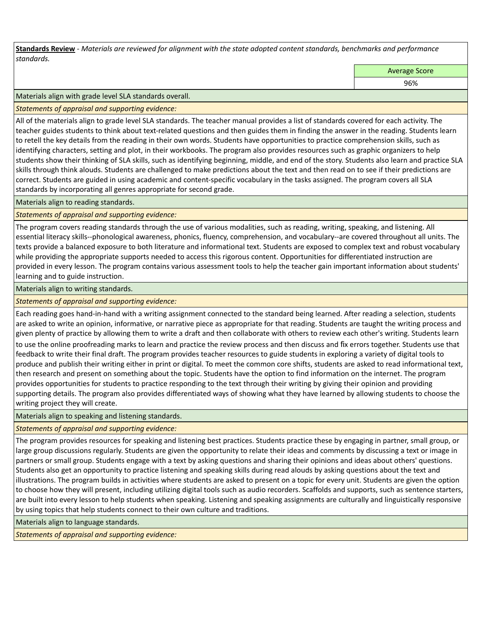**Standards Review** *- Materials are reviewed for alignment with the state adopted content standards, benchmarks and performance standards.*

Average Score

96%

Materials align with grade level SLA standards overall.

*Statements of appraisal and supporting evidence:* 

All of the materials align to grade level SLA standards. The teacher manual provides a list of standards covered for each activity. The teacher guides students to think about text-related questions and then guides them in finding the answer in the reading. Students learn to retell the key details from the reading in their own words. Students have opportunities to practice comprehension skills, such as identifying characters, setting and plot, in their workbooks. The program also provides resources such as graphic organizers to help students show their thinking of SLA skills, such as identifying beginning, middle, and end of the story. Students also learn and practice SLA skills through think alouds. Students are challenged to make predictions about the text and then read on to see if their predictions are correct. Students are guided in using academic and content-specific vocabulary in the tasks assigned. The program covers all SLA standards by incorporating all genres appropriate for second grade.

Materials align to reading standards.

*Statements of appraisal and supporting evidence:* 

The program covers reading standards through the use of various modalities, such as reading, writing, speaking, and listening. All essential literacy skills--phonological awareness, phonics, fluency, comprehension, and vocabulary--are covered throughout all units. The texts provide a balanced exposure to both literature and informational text. Students are exposed to complex text and robust vocabulary while providing the appropriate supports needed to access this rigorous content. Opportunities for differentiated instruction are provided in every lesson. The program contains various assessment tools to help the teacher gain important information about students' learning and to guide instruction.

Materials align to writing standards.

*Statements of appraisal and supporting evidence:* 

Each reading goes hand-in-hand with a writing assignment connected to the standard being learned. After reading a selection, students are asked to write an opinion, informative, or narrative piece as appropriate for that reading. Students are taught the writing process and given plenty of practice by allowing them to write a draft and then collaborate with others to review each other's writing. Students learn to use the online proofreading marks to learn and practice the review process and then discuss and fix errors together. Students use that feedback to write their final draft. The program provides teacher resources to guide students in exploring a variety of digital tools to produce and publish their writing either in print or digital. To meet the common core shifts, students are asked to read informational text, then research and present on something about the topic. Students have the option to find information on the internet. The program provides opportunities for students to practice responding to the text through their writing by giving their opinion and providing supporting details. The program also provides differentiated ways of showing what they have learned by allowing students to choose the writing project they will create.

Materials align to speaking and listening standards.

*Statements of appraisal and supporting evidence:* 

The program provides resources for speaking and listening best practices. Students practice these by engaging in partner, small group, or large group discussions regularly. Students are given the opportunity to relate their ideas and comments by discussing a text or image in partners or small group. Students engage with a text by asking questions and sharing their opinions and ideas about others' questions. Students also get an opportunity to practice listening and speaking skills during read alouds by asking questions about the text and illustrations. The program builds in activities where students are asked to present on a topic for every unit. Students are given the option to choose how they will present, including utilizing digital tools such as audio recorders. Scaffolds and supports, such as sentence starters, are built into every lesson to help students when speaking. Listening and speaking assignments are culturally and linguistically responsive by using topics that help students connect to their own culture and traditions.

Materials align to language standards.

*Statements of appraisal and supporting evidence:*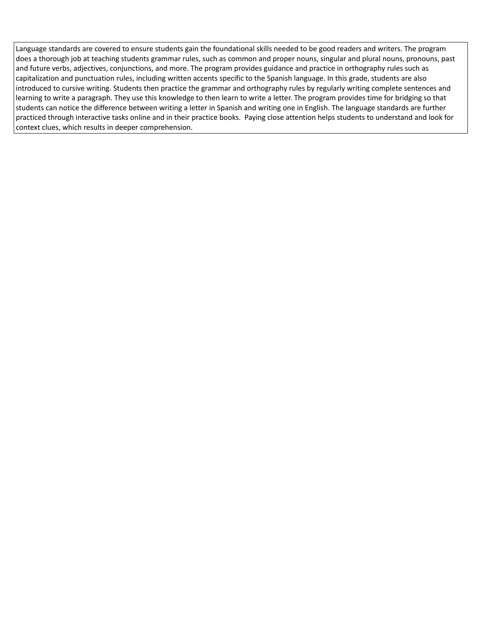Language standards are covered to ensure students gain the foundational skills needed to be good readers and writers. The program does a thorough job at teaching students grammar rules, such as common and proper nouns, singular and plural nouns, pronouns, past and future verbs, adjectives, conjunctions, and more. The program provides guidance and practice in orthography rules such as capitalization and punctuation rules, including written accents specific to the Spanish language. In this grade, students are also introduced to cursive writing. Students then practice the grammar and orthography rules by regularly writing complete sentences and learning to write a paragraph. They use this knowledge to then learn to write a letter. The program provides time for bridging so that students can notice the difference between writing a letter in Spanish and writing one in English. The language standards are further practiced through interactive tasks online and in their practice books. Paying close attention helps students to understand and look for context clues, which results in deeper comprehension.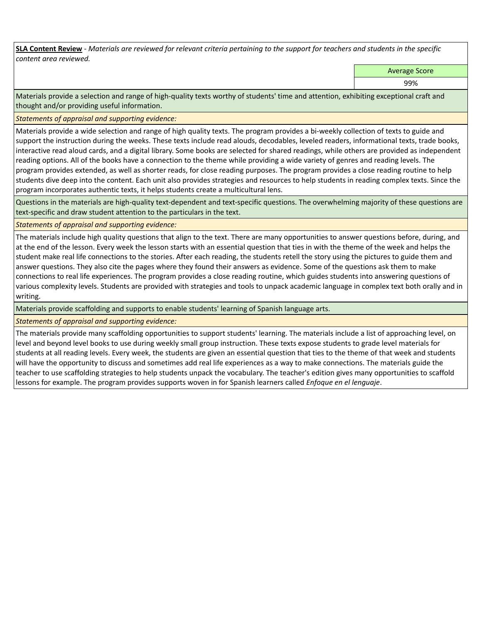**SLA Content Review** *- Materials are reviewed for relevant criteria pertaining to the support for teachers and students in the specific content area reviewed.*

Average Score

99%

Materials provide a selection and range of high-quality texts worthy of students' time and attention, exhibiting exceptional craft and thought and/or providing useful information.

*Statements of appraisal and supporting evidence:* 

Materials provide a wide selection and range of high quality texts. The program provides a bi-weekly collection of texts to guide and support the instruction during the weeks. These texts include read alouds, decodables, leveled readers, informational texts, trade books, interactive read aloud cards, and a digital library. Some books are selected for shared readings, while others are provided as independent reading options. All of the books have a connection to the theme while providing a wide variety of genres and reading levels. The program provides extended, as well as shorter reads, for close reading purposes. The program provides a close reading routine to help students dive deep into the content. Each unit also provides strategies and resources to help students in reading complex texts. Since the program incorporates authentic texts, it helps students create a multicultural lens.

Questions in the materials are high-quality text-dependent and text-specific questions. The overwhelming majority of these questions are text-specific and draw student attention to the particulars in the text.

*Statements of appraisal and supporting evidence:* 

The materials include high quality questions that align to the text. There are many opportunities to answer questions before, during, and at the end of the lesson. Every week the lesson starts with an essential question that ties in with the theme of the week and helps the student make real life connections to the stories. After each reading, the students retell the story using the pictures to guide them and answer questions. They also cite the pages where they found their answers as evidence. Some of the questions ask them to make connections to real life experiences. The program provides a close reading routine, which guides students into answering questions of various complexity levels. Students are provided with strategies and tools to unpack academic language in complex text both orally and in writing.

Materials provide scaffolding and supports to enable students' learning of Spanish language arts.

*Statements of appraisal and supporting evidence:* 

The materials provide many scaffolding opportunities to support students' learning. The materials include a list of approaching level, on level and beyond level books to use during weekly small group instruction. These texts expose students to grade level materials for students at all reading levels. Every week, the students are given an essential question that ties to the theme of that week and students will have the opportunity to discuss and sometimes add real life experiences as a way to make connections. The materials guide the teacher to use scaffolding strategies to help students unpack the vocabulary. The teacher's edition gives many opportunities to scaffold lessons for example. The program provides supports woven in for Spanish learners called *Enfoque en el lenguaje*.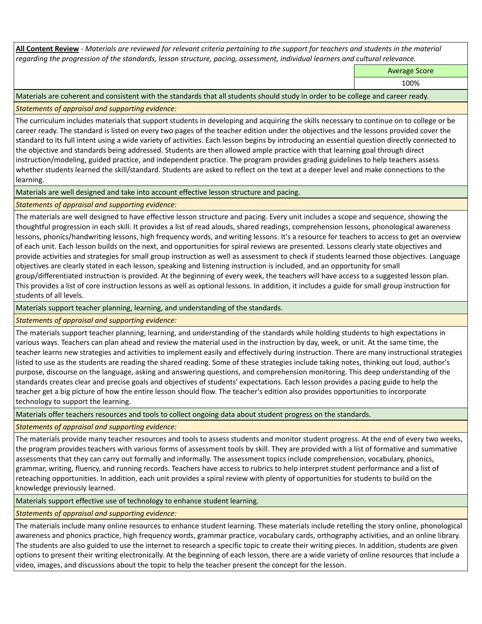**All Content Review** *- Materials are reviewed for relevant criteria pertaining to the support for teachers and students in the material regarding the progression of the standards, lesson structure, pacing, assessment, individual learners and cultural relevance.*

Average Score

100%

Materials are coherent and consistent with the standards that all students should study in order to be college and career ready.

*Statements of appraisal and supporting evidence:*

The curriculum includes materials that support students in developing and acquiring the skills necessary to continue on to college or be career ready. The standard is listed on every two pages of the teacher edition under the objectives and the lessons provided cover the standard to its full intent using a wide variety of activities. Each lesson begins by introducing an essential question directly connected to the objective and standards being addressed. Students are then allowed ample practice with that learning goal through direct instruction/modeling, guided practice, and independent practice. The program provides grading guidelines to help teachers assess whether students learned the skill/standard. Students are asked to reflect on the text at a deeper level and make connections to the learning.

Materials are well designed and take into account effective lesson structure and pacing.

*Statements of appraisal and supporting evidence:*

The materials are well designed to have effective lesson structure and pacing. Every unit includes a scope and sequence, showing the thoughtful progression in each skill. It provides a list of read alouds, shared readings, comprehension lessons, phonological awareness lessons, phonics/handwriting lessons, high frequency words, and writing lessons. It's a resource for teachers to access to get an overview of each unit. Each lesson builds on the next, and opportunities for spiral reviews are presented. Lessons clearly state objectives and provide activities and strategies for small group instruction as well as assessment to check if students learned those objectives. Language objectives are clearly stated in each lesson, speaking and listening instruction is included, and an opportunity for small group/differentiated instruction is provided. At the beginning of every week, the teachers will have access to a suggested lesson plan. This provides a list of core instruction lessons as well as optional lessons. In addition, it includes a guide for small group instruction for students of all levels.

Materials support teacher planning, learning, and understanding of the standards.

*Statements of appraisal and supporting evidence:*

The materials support teacher planning, learning, and understanding of the standards while holding students to high expectations in various ways. Teachers can plan ahead and review the material used in the instruction by day, week, or unit. At the same time, the teacher learns new strategies and activities to implement easily and effectively during instruction. There are many instructional strategies listed to use as the students are reading the shared reading. Some of these strategies include taking notes, thinking out loud, author's purpose, discourse on the language, asking and answering questions, and comprehension monitoring. This deep understanding of the standards creates clear and precise goals and objectives of students' expectations. Each lesson provides a pacing guide to help the teacher get a big picture of how the entire lesson should flow. The teacher's edition also provides opportunities to incorporate technology to support the learning.

Materials offer teachers resources and tools to collect ongoing data about student progress on the standards.

*Statements of appraisal and supporting evidence:*

The materials provide many teacher resources and tools to assess students and monitor student progress. At the end of every two weeks, the program provides teachers with various forms of assessment tools by skill. They are provided with a list of formative and summative assessments that they can carry out formally and informally. The assessment topics include comprehension, vocabulary, phonics, grammar, writing, fluency, and running records. Teachers have access to rubrics to help interpret student performance and a list of reteaching opportunities. In addition, each unit provides a spiral review with plenty of opportunities for students to build on the knowledge previously learned.

Materials support effective use of technology to enhance student learning.

*Statements of appraisal and supporting evidence:*

The materials include many online resources to enhance student learning. These materials include retelling the story online, phonological awareness and phonics practice, high frequency words, grammar practice, vocabulary cards, orthography activities, and an online library. The students are also guided to use the internet to research a specific topic to create their writing pieces. In addition, students are given options to present their writing electronically. At the beginning of each lesson, there are a wide variety of online resources that include a video, images, and discussions about the topic to help the teacher present the concept for the lesson.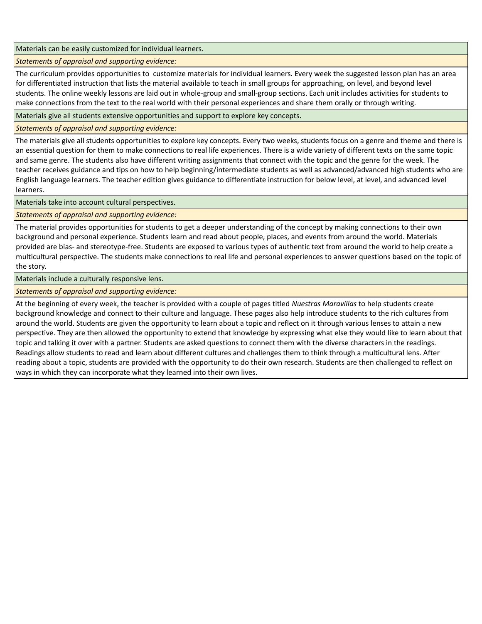Materials can be easily customized for individual learners.

*Statements of appraisal and supporting evidence:* 

The curriculum provides opportunities to customize materials for individual learners. Every week the suggested lesson plan has an area for differentiated instruction that lists the material available to teach in small groups for approaching, on level, and beyond level students. The online weekly lessons are laid out in whole-group and small-group sections. Each unit includes activities for students to make connections from the text to the real world with their personal experiences and share them orally or through writing.

Materials give all students extensive opportunities and support to explore key concepts.

*Statements of appraisal and supporting evidence:*

The materials give all students opportunities to explore key concepts. Every two weeks, students focus on a genre and theme and there is an essential question for them to make connections to real life experiences. There is a wide variety of different texts on the same topic and same genre. The students also have different writing assignments that connect with the topic and the genre for the week. The teacher receives guidance and tips on how to help beginning/intermediate students as well as advanced/advanced high students who are English language learners. The teacher edition gives guidance to differentiate instruction for below level, at level, and advanced level learners.

Materials take into account cultural perspectives.

*Statements of appraisal and supporting evidence:*

The material provides opportunities for students to get a deeper understanding of the concept by making connections to their own background and personal experience. Students learn and read about people, places, and events from around the world. Materials provided are bias- and stereotype-free. Students are exposed to various types of authentic text from around the world to help create a multicultural perspective. The students make connections to real life and personal experiences to answer questions based on the topic of the story.

Materials include a culturally responsive lens.

*Statements of appraisal and supporting evidence:*

At the beginning of every week, the teacher is provided with a couple of pages titled *Nuestras Maravillas* to help students create background knowledge and connect to their culture and language. These pages also help introduce students to the rich cultures from around the world. Students are given the opportunity to learn about a topic and reflect on it through various lenses to attain a new perspective. They are then allowed the opportunity to extend that knowledge by expressing what else they would like to learn about that topic and talking it over with a partner. Students are asked questions to connect them with the diverse characters in the readings. Readings allow students to read and learn about different cultures and challenges them to think through a multicultural lens. After reading about a topic, students are provided with the opportunity to do their own research. Students are then challenged to reflect on ways in which they can incorporate what they learned into their own lives.